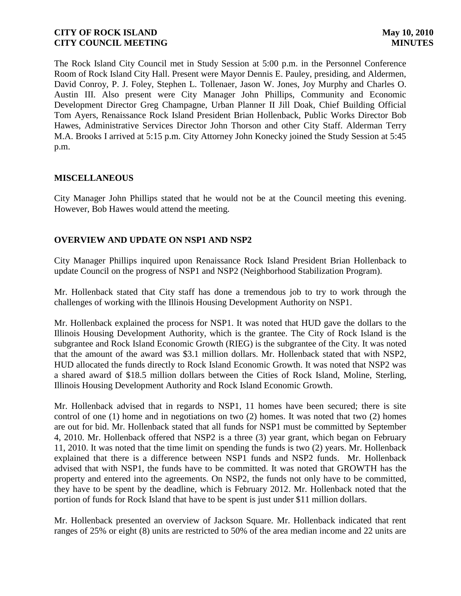The Rock Island City Council met in Study Session at 5:00 p.m. in the Personnel Conference Room of Rock Island City Hall. Present were Mayor Dennis E. Pauley, presiding, and Aldermen, David Conroy, P. J. Foley, Stephen L. Tollenaer, Jason W. Jones, Joy Murphy and Charles O. Austin III. Also present were City Manager John Phillips, Community and Economic Development Director Greg Champagne, Urban Planner II Jill Doak, Chief Building Official Tom Ayers, Renaissance Rock Island President Brian Hollenback, Public Works Director Bob Hawes, Administrative Services Director John Thorson and other City Staff. Alderman Terry M.A. Brooks I arrived at 5:15 p.m. City Attorney John Konecky joined the Study Session at 5:45 p.m.

## **MISCELLANEOUS**

City Manager John Phillips stated that he would not be at the Council meeting this evening. However, Bob Hawes would attend the meeting.

# **OVERVIEW AND UPDATE ON NSP1 AND NSP2**

City Manager Phillips inquired upon Renaissance Rock Island President Brian Hollenback to update Council on the progress of NSP1 and NSP2 (Neighborhood Stabilization Program).

Mr. Hollenback stated that City staff has done a tremendous job to try to work through the challenges of working with the Illinois Housing Development Authority on NSP1.

Mr. Hollenback explained the process for NSP1. It was noted that HUD gave the dollars to the Illinois Housing Development Authority, which is the grantee. The City of Rock Island is the subgrantee and Rock Island Economic Growth (RIEG) is the subgrantee of the City. It was noted that the amount of the award was \$3.1 million dollars. Mr. Hollenback stated that with NSP2, HUD allocated the funds directly to Rock Island Economic Growth. It was noted that NSP2 was a shared award of \$18.5 million dollars between the Cities of Rock Island, Moline, Sterling, Illinois Housing Development Authority and Rock Island Economic Growth.

Mr. Hollenback advised that in regards to NSP1, 11 homes have been secured; there is site control of one (1) home and in negotiations on two (2) homes. It was noted that two (2) homes are out for bid. Mr. Hollenback stated that all funds for NSP1 must be committed by September 4, 2010. Mr. Hollenback offered that NSP2 is a three (3) year grant, which began on February 11, 2010. It was noted that the time limit on spending the funds is two (2) years. Mr. Hollenback explained that there is a difference between NSP1 funds and NSP2 funds. Mr. Hollenback advised that with NSP1, the funds have to be committed. It was noted that GROWTH has the property and entered into the agreements. On NSP2, the funds not only have to be committed, they have to be spent by the deadline, which is February 2012. Mr. Hollenback noted that the portion of funds for Rock Island that have to be spent is just under \$11 million dollars.

Mr. Hollenback presented an overview of Jackson Square. Mr. Hollenback indicated that rent ranges of 25% or eight (8) units are restricted to 50% of the area median income and 22 units are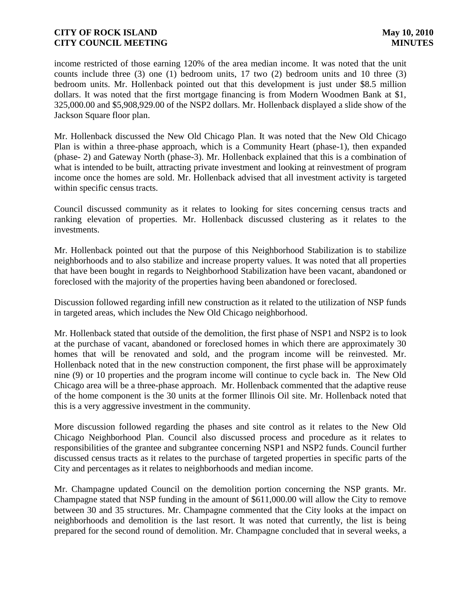income restricted of those earning 120% of the area median income. It was noted that the unit counts include three (3) one (1) bedroom units, 17 two (2) bedroom units and 10 three (3) bedroom units. Mr. Hollenback pointed out that this development is just under \$8.5 million dollars. It was noted that the first mortgage financing is from Modern Woodmen Bank at \$1, 325,000.00 and \$5,908,929.00 of the NSP2 dollars. Mr. Hollenback displayed a slide show of the Jackson Square floor plan.

Mr. Hollenback discussed the New Old Chicago Plan. It was noted that the New Old Chicago Plan is within a three-phase approach, which is a Community Heart (phase-1), then expanded (phase- 2) and Gateway North (phase-3). Mr. Hollenback explained that this is a combination of what is intended to be built, attracting private investment and looking at reinvestment of program income once the homes are sold. Mr. Hollenback advised that all investment activity is targeted within specific census tracts.

Council discussed community as it relates to looking for sites concerning census tracts and ranking elevation of properties. Mr. Hollenback discussed clustering as it relates to the investments.

Mr. Hollenback pointed out that the purpose of this Neighborhood Stabilization is to stabilize neighborhoods and to also stabilize and increase property values. It was noted that all properties that have been bought in regards to Neighborhood Stabilization have been vacant, abandoned or foreclosed with the majority of the properties having been abandoned or foreclosed.

Discussion followed regarding infill new construction as it related to the utilization of NSP funds in targeted areas, which includes the New Old Chicago neighborhood.

Mr. Hollenback stated that outside of the demolition, the first phase of NSP1 and NSP2 is to look at the purchase of vacant, abandoned or foreclosed homes in which there are approximately 30 homes that will be renovated and sold, and the program income will be reinvested. Mr. Hollenback noted that in the new construction component, the first phase will be approximately nine (9) or 10 properties and the program income will continue to cycle back in. The New Old Chicago area will be a three-phase approach. Mr. Hollenback commented that the adaptive reuse of the home component is the 30 units at the former Illinois Oil site. Mr. Hollenback noted that this is a very aggressive investment in the community.

More discussion followed regarding the phases and site control as it relates to the New Old Chicago Neighborhood Plan. Council also discussed process and procedure as it relates to responsibilities of the grantee and subgrantee concerning NSP1 and NSP2 funds. Council further discussed census tracts as it relates to the purchase of targeted properties in specific parts of the City and percentages as it relates to neighborhoods and median income.

Mr. Champagne updated Council on the demolition portion concerning the NSP grants. Mr. Champagne stated that NSP funding in the amount of \$611,000.00 will allow the City to remove between 30 and 35 structures. Mr. Champagne commented that the City looks at the impact on neighborhoods and demolition is the last resort. It was noted that currently, the list is being prepared for the second round of demolition. Mr. Champagne concluded that in several weeks, a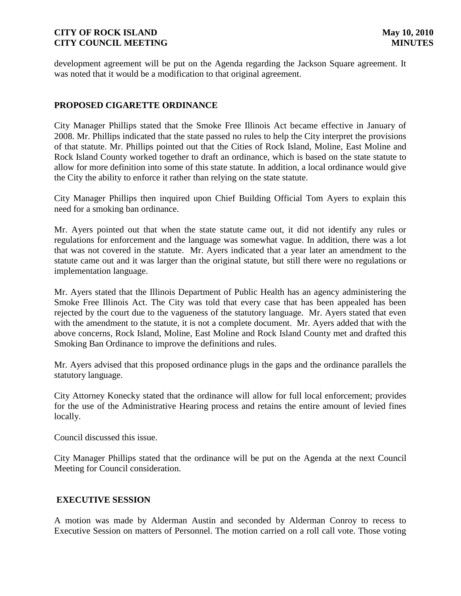development agreement will be put on the Agenda regarding the Jackson Square agreement. It was noted that it would be a modification to that original agreement.

## **PROPOSED CIGARETTE ORDINANCE**

City Manager Phillips stated that the Smoke Free Illinois Act became effective in January of 2008. Mr. Phillips indicated that the state passed no rules to help the City interpret the provisions of that statute. Mr. Phillips pointed out that the Cities of Rock Island, Moline, East Moline and Rock Island County worked together to draft an ordinance, which is based on the state statute to allow for more definition into some of this state statute. In addition, a local ordinance would give the City the ability to enforce it rather than relying on the state statute.

City Manager Phillips then inquired upon Chief Building Official Tom Ayers to explain this need for a smoking ban ordinance.

Mr. Ayers pointed out that when the state statute came out, it did not identify any rules or regulations for enforcement and the language was somewhat vague. In addition, there was a lot that was not covered in the statute. Mr. Ayers indicated that a year later an amendment to the statute came out and it was larger than the original statute, but still there were no regulations or implementation language.

Mr. Ayers stated that the Illinois Department of Public Health has an agency administering the Smoke Free Illinois Act. The City was told that every case that has been appealed has been rejected by the court due to the vagueness of the statutory language. Mr. Ayers stated that even with the amendment to the statute, it is not a complete document. Mr. Ayers added that with the above concerns, Rock Island, Moline, East Moline and Rock Island County met and drafted this Smoking Ban Ordinance to improve the definitions and rules.

Mr. Ayers advised that this proposed ordinance plugs in the gaps and the ordinance parallels the statutory language.

City Attorney Konecky stated that the ordinance will allow for full local enforcement; provides for the use of the Administrative Hearing process and retains the entire amount of levied fines locally.

Council discussed this issue.

City Manager Phillips stated that the ordinance will be put on the Agenda at the next Council Meeting for Council consideration.

## **EXECUTIVE SESSION**

A motion was made by Alderman Austin and seconded by Alderman Conroy to recess to Executive Session on matters of Personnel. The motion carried on a roll call vote. Those voting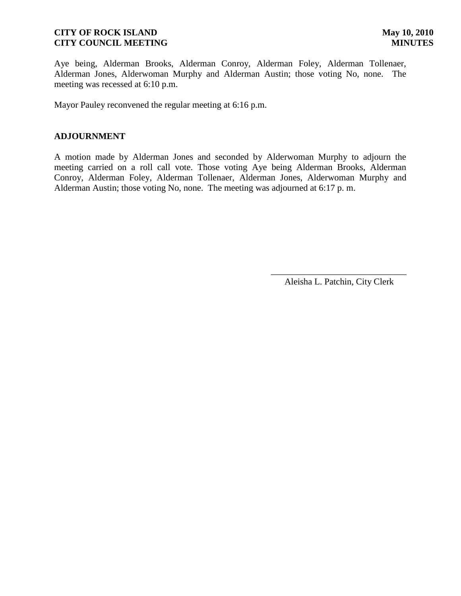Aye being, Alderman Brooks, Alderman Conroy, Alderman Foley, Alderman Tollenaer, Alderman Jones, Alderwoman Murphy and Alderman Austin; those voting No, none. The meeting was recessed at 6:10 p.m.

Mayor Pauley reconvened the regular meeting at 6:16 p.m.

## **ADJOURNMENT**

A motion made by Alderman Jones and seconded by Alderwoman Murphy to adjourn the meeting carried on a roll call vote. Those voting Aye being Alderman Brooks, Alderman Conroy, Alderman Foley, Alderman Tollenaer, Alderman Jones, Alderwoman Murphy and Alderman Austin; those voting No, none. The meeting was adjourned at 6:17 p. m.

> \_\_\_\_\_\_\_\_\_\_\_\_\_\_\_\_\_\_\_\_\_\_\_\_\_\_\_\_\_\_ Aleisha L. Patchin, City Clerk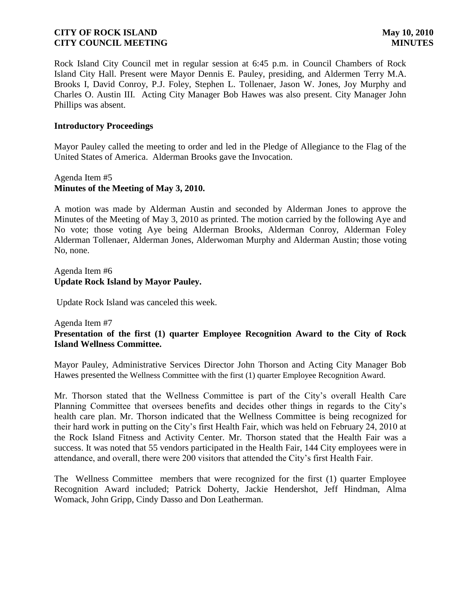Rock Island City Council met in regular session at 6:45 p.m. in Council Chambers of Rock Island City Hall. Present were Mayor Dennis E. Pauley, presiding, and Aldermen Terry M.A. Brooks I, David Conroy, P.J. Foley, Stephen L. Tollenaer, Jason W. Jones, Joy Murphy and Charles O. Austin III. Acting City Manager Bob Hawes was also present. City Manager John Phillips was absent.

## **Introductory Proceedings**

Mayor Pauley called the meeting to order and led in the Pledge of Allegiance to the Flag of the United States of America. Alderman Brooks gave the Invocation.

# Agenda Item #5 **Minutes of the Meeting of May 3, 2010.**

A motion was made by Alderman Austin and seconded by Alderman Jones to approve the Minutes of the Meeting of May 3, 2010 as printed. The motion carried by the following Aye and No vote; those voting Aye being Alderman Brooks, Alderman Conroy, Alderman Foley Alderman Tollenaer, Alderman Jones, Alderwoman Murphy and Alderman Austin; those voting No, none.

## Agenda Item #6 **Update Rock Island by Mayor Pauley.**

Update Rock Island was canceled this week.

### Agenda Item #7

## **Presentation of the first (1) quarter Employee Recognition Award to the City of Rock Island Wellness Committee.**

Mayor Pauley, Administrative Services Director John Thorson and Acting City Manager Bob Hawes presented the Wellness Committee with the first (1) quarter Employee Recognition Award.

Mr. Thorson stated that the Wellness Committee is part of the City's overall Health Care Planning Committee that oversees benefits and decides other things in regards to the City's health care plan. Mr. Thorson indicated that the Wellness Committee is being recognized for their hard work in putting on the City's first Health Fair, which was held on February 24, 2010 at the Rock Island Fitness and Activity Center. Mr. Thorson stated that the Health Fair was a success. It was noted that 55 vendors participated in the Health Fair, 144 City employees were in attendance, and overall, there were 200 visitors that attended the City's first Health Fair.

The Wellness Committee members that were recognized for the first (1) quarter Employee Recognition Award included; Patrick Doherty, Jackie Hendershot, Jeff Hindman, Alma Womack, John Gripp, Cindy Dasso and Don Leatherman.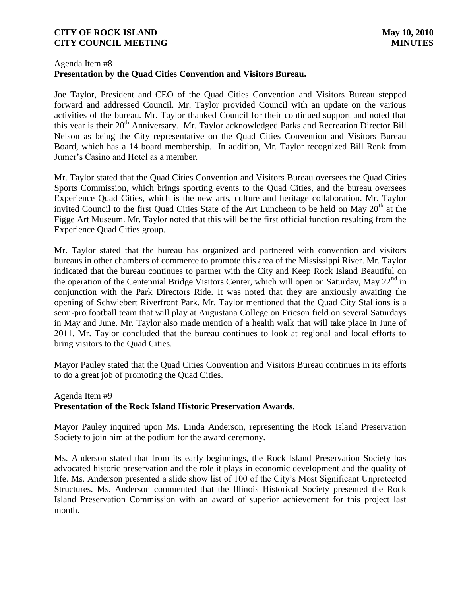## Agenda Item #8 **Presentation by the Quad Cities Convention and Visitors Bureau.**

Joe Taylor, President and CEO of the Quad Cities Convention and Visitors Bureau stepped forward and addressed Council. Mr. Taylor provided Council with an update on the various activities of the bureau. Mr. Taylor thanked Council for their continued support and noted that this year is their 20<sup>th</sup> Anniversary. Mr. Taylor acknowledged Parks and Recreation Director Bill Nelson as being the City representative on the Quad Cities Convention and Visitors Bureau Board, which has a 14 board membership. In addition, Mr. Taylor recognized Bill Renk from Jumer's Casino and Hotel as a member.

Mr. Taylor stated that the Quad Cities Convention and Visitors Bureau oversees the Quad Cities Sports Commission, which brings sporting events to the Quad Cities, and the bureau oversees Experience Quad Cities, which is the new arts, culture and heritage collaboration. Mr. Taylor invited Council to the first Quad Cities State of the Art Luncheon to be held on May 20<sup>th</sup> at the Figge Art Museum. Mr. Taylor noted that this will be the first official function resulting from the Experience Quad Cities group.

Mr. Taylor stated that the bureau has organized and partnered with convention and visitors bureaus in other chambers of commerce to promote this area of the Mississippi River. Mr. Taylor indicated that the bureau continues to partner with the City and Keep Rock Island Beautiful on the operation of the Centennial Bridge Visitors Center, which will open on Saturday, May  $22^{nd}$  in conjunction with the Park Directors Ride. It was noted that they are anxiously awaiting the opening of Schwiebert Riverfront Park. Mr. Taylor mentioned that the Quad City Stallions is a semi-pro football team that will play at Augustana College on Ericson field on several Saturdays in May and June. Mr. Taylor also made mention of a health walk that will take place in June of 2011. Mr. Taylor concluded that the bureau continues to look at regional and local efforts to bring visitors to the Quad Cities.

Mayor Pauley stated that the Quad Cities Convention and Visitors Bureau continues in its efforts to do a great job of promoting the Quad Cities.

# Agenda Item #9 **Presentation of the Rock Island Historic Preservation Awards.**

Mayor Pauley inquired upon Ms. Linda Anderson, representing the Rock Island Preservation Society to join him at the podium for the award ceremony.

Ms. Anderson stated that from its early beginnings, the Rock Island Preservation Society has advocated historic preservation and the role it plays in economic development and the quality of life. Ms. Anderson presented a slide show list of 100 of the City's Most Significant Unprotected Structures. Ms. Anderson commented that the Illinois Historical Society presented the Rock Island Preservation Commission with an award of superior achievement for this project last month.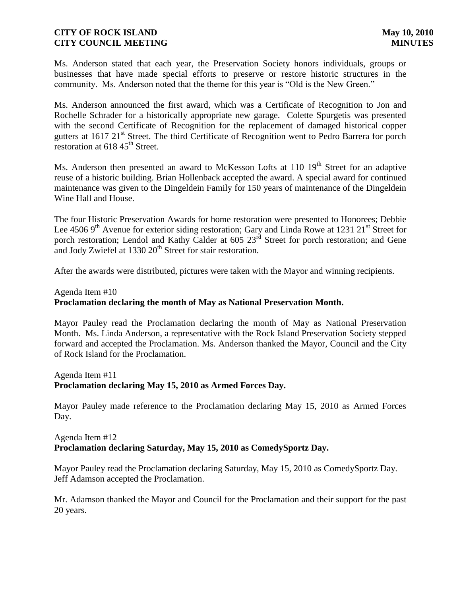Ms. Anderson stated that each year, the Preservation Society honors individuals, groups or businesses that have made special efforts to preserve or restore historic structures in the community. Ms. Anderson noted that the theme for this year is "Old is the New Green."

Ms. Anderson announced the first award, which was a Certificate of Recognition to Jon and Rochelle Schrader for a historically appropriate new garage. Colette Spurgetis was presented with the second Certificate of Recognition for the replacement of damaged historical copper gutters at 1617 21<sup>st</sup> Street. The third Certificate of Recognition went to Pedro Barrera for porch restoration at  $618\,45^{\text{th}}$  Street.

Ms. Anderson then presented an award to McKesson Lofts at 110 19<sup>th</sup> Street for an adaptive reuse of a historic building. Brian Hollenback accepted the award. A special award for continued maintenance was given to the Dingeldein Family for 150 years of maintenance of the Dingeldein Wine Hall and House.

The four Historic Preservation Awards for home restoration were presented to Honorees; Debbie Lee 4506 9<sup>th</sup> Avenue for exterior siding restoration; Gary and Linda Rowe at 1231 21<sup>st</sup> Street for porch restoration; Lendol and Kathy Calder at  $605 \, 23<sup>rd</sup>$  Street for porch restoration; and Gene and Jody Zwiefel at 1330 20<sup>th</sup> Street for stair restoration.

After the awards were distributed, pictures were taken with the Mayor and winning recipients.

# Agenda Item #10 **Proclamation declaring the month of May as National Preservation Month.**

Mayor Pauley read the Proclamation declaring the month of May as National Preservation Month. Ms. Linda Anderson, a representative with the Rock Island Preservation Society stepped forward and accepted the Proclamation. Ms. Anderson thanked the Mayor, Council and the City of Rock Island for the Proclamation.

### Agenda Item #11 **Proclamation declaring May 15, 2010 as Armed Forces Day.**

Mayor Pauley made reference to the Proclamation declaring May 15, 2010 as Armed Forces Day.

# Agenda Item #12 **Proclamation declaring Saturday, May 15, 2010 as ComedySportz Day.**

Mayor Pauley read the Proclamation declaring Saturday, May 15, 2010 as ComedySportz Day. Jeff Adamson accepted the Proclamation.

Mr. Adamson thanked the Mayor and Council for the Proclamation and their support for the past 20 years.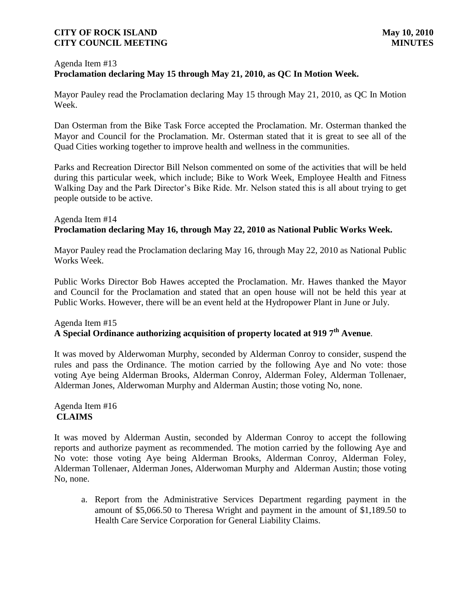# Agenda Item #13 **Proclamation declaring May 15 through May 21, 2010, as QC In Motion Week.**

Mayor Pauley read the Proclamation declaring May 15 through May 21, 2010, as QC In Motion Week.

Dan Osterman from the Bike Task Force accepted the Proclamation. Mr. Osterman thanked the Mayor and Council for the Proclamation. Mr. Osterman stated that it is great to see all of the Quad Cities working together to improve health and wellness in the communities.

Parks and Recreation Director Bill Nelson commented on some of the activities that will be held during this particular week, which include; Bike to Work Week, Employee Health and Fitness Walking Day and the Park Director's Bike Ride. Mr. Nelson stated this is all about trying to get people outside to be active.

# Agenda Item #14 **Proclamation declaring May 16, through May 22, 2010 as National Public Works Week.**

Mayor Pauley read the Proclamation declaring May 16, through May 22, 2010 as National Public Works Week.

Public Works Director Bob Hawes accepted the Proclamation. Mr. Hawes thanked the Mayor and Council for the Proclamation and stated that an open house will not be held this year at Public Works. However, there will be an event held at the Hydropower Plant in June or July.

## Agenda Item #15 **A Special Ordinance authorizing acquisition of property located at 919 7th Avenue**.

It was moved by Alderwoman Murphy, seconded by Alderman Conroy to consider, suspend the rules and pass the Ordinance. The motion carried by the following Aye and No vote: those voting Aye being Alderman Brooks, Alderman Conroy, Alderman Foley, Alderman Tollenaer, Alderman Jones, Alderwoman Murphy and Alderman Austin; those voting No, none.

# Agenda Item #16 **CLAIMS**

It was moved by Alderman Austin, seconded by Alderman Conroy to accept the following reports and authorize payment as recommended. The motion carried by the following Aye and No vote: those voting Aye being Alderman Brooks, Alderman Conroy, Alderman Foley, Alderman Tollenaer, Alderman Jones, Alderwoman Murphy and Alderman Austin; those voting No, none.

a. Report from the Administrative Services Department regarding payment in the amount of \$5,066.50 to Theresa Wright and payment in the amount of \$1,189.50 to Health Care Service Corporation for General Liability Claims.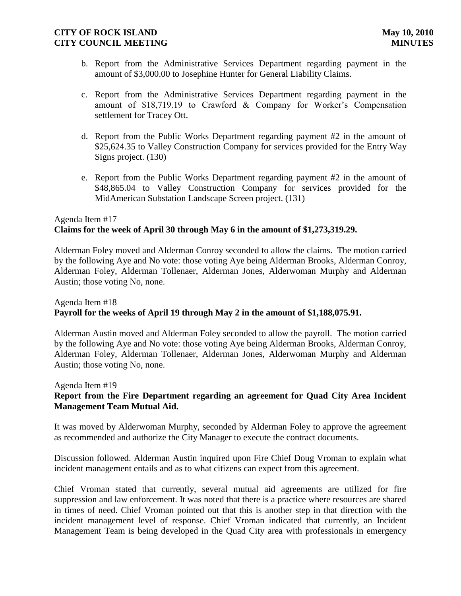- b. Report from the Administrative Services Department regarding payment in the amount of \$3,000.00 to Josephine Hunter for General Liability Claims.
- c. Report from the Administrative Services Department regarding payment in the amount of \$18,719.19 to Crawford & Company for Worker's Compensation settlement for Tracey Ott.
- d. Report from the Public Works Department regarding payment #2 in the amount of \$25,624.35 to Valley Construction Company for services provided for the Entry Way Signs project. (130)
- e. Report from the Public Works Department regarding payment #2 in the amount of \$48,865.04 to Valley Construction Company for services provided for the MidAmerican Substation Landscape Screen project. (131)

# Agenda Item #17 **Claims for the week of April 30 through May 6 in the amount of \$1,273,319.29.**

Alderman Foley moved and Alderman Conroy seconded to allow the claims. The motion carried by the following Aye and No vote: those voting Aye being Alderman Brooks, Alderman Conroy, Alderman Foley, Alderman Tollenaer, Alderman Jones, Alderwoman Murphy and Alderman Austin; those voting No, none.

# Agenda Item #18 **Payroll for the weeks of April 19 through May 2 in the amount of \$1,188,075.91.**

Alderman Austin moved and Alderman Foley seconded to allow the payroll. The motion carried by the following Aye and No vote: those voting Aye being Alderman Brooks, Alderman Conroy, Alderman Foley, Alderman Tollenaer, Alderman Jones, Alderwoman Murphy and Alderman Austin; those voting No, none.

# Agenda Item #19 **Report from the Fire Department regarding an agreement for Quad City Area Incident Management Team Mutual Aid.**

It was moved by Alderwoman Murphy, seconded by Alderman Foley to approve the agreement as recommended and authorize the City Manager to execute the contract documents.

Discussion followed. Alderman Austin inquired upon Fire Chief Doug Vroman to explain what incident management entails and as to what citizens can expect from this agreement.

Chief Vroman stated that currently, several mutual aid agreements are utilized for fire suppression and law enforcement. It was noted that there is a practice where resources are shared in times of need. Chief Vroman pointed out that this is another step in that direction with the incident management level of response. Chief Vroman indicated that currently, an Incident Management Team is being developed in the Quad City area with professionals in emergency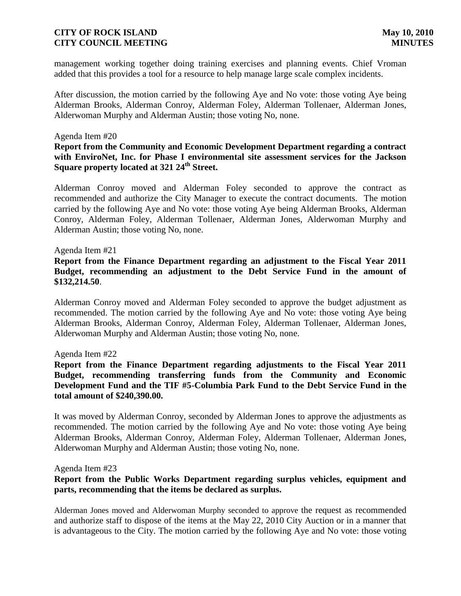management working together doing training exercises and planning events. Chief Vroman added that this provides a tool for a resource to help manage large scale complex incidents.

After discussion, the motion carried by the following Aye and No vote: those voting Aye being Alderman Brooks, Alderman Conroy, Alderman Foley, Alderman Tollenaer, Alderman Jones, Alderwoman Murphy and Alderman Austin; those voting No, none.

## Agenda Item #20

**Report from the Community and Economic Development Department regarding a contract with EnviroNet, Inc. for Phase I environmental site assessment services for the Jackson Square property located at 321 24th Street.**

Alderman Conroy moved and Alderman Foley seconded to approve the contract as recommended and authorize the City Manager to execute the contract documents. The motion carried by the following Aye and No vote: those voting Aye being Alderman Brooks, Alderman Conroy, Alderman Foley, Alderman Tollenaer, Alderman Jones, Alderwoman Murphy and Alderman Austin; those voting No, none.

### Agenda Item #21

**Report from the Finance Department regarding an adjustment to the Fiscal Year 2011 Budget, recommending an adjustment to the Debt Service Fund in the amount of \$132,214.50**.

Alderman Conroy moved and Alderman Foley seconded to approve the budget adjustment as recommended. The motion carried by the following Aye and No vote: those voting Aye being Alderman Brooks, Alderman Conroy, Alderman Foley, Alderman Tollenaer, Alderman Jones, Alderwoman Murphy and Alderman Austin; those voting No, none.

### Agenda Item #22

**Report from the Finance Department regarding adjustments to the Fiscal Year 2011 Budget, recommending transferring funds from the Community and Economic Development Fund and the TIF #5-Columbia Park Fund to the Debt Service Fund in the total amount of \$240,390.00.**

It was moved by Alderman Conroy, seconded by Alderman Jones to approve the adjustments as recommended. The motion carried by the following Aye and No vote: those voting Aye being Alderman Brooks, Alderman Conroy, Alderman Foley, Alderman Tollenaer, Alderman Jones, Alderwoman Murphy and Alderman Austin; those voting No, none.

### Agenda Item #23

## **Report from the Public Works Department regarding surplus vehicles, equipment and parts, recommending that the items be declared as surplus.**

Alderman Jones moved and Alderwoman Murphy seconded to approve the request as recommended and authorize staff to dispose of the items at the May 22, 2010 City Auction or in a manner that is advantageous to the City. The motion carried by the following Aye and No vote: those voting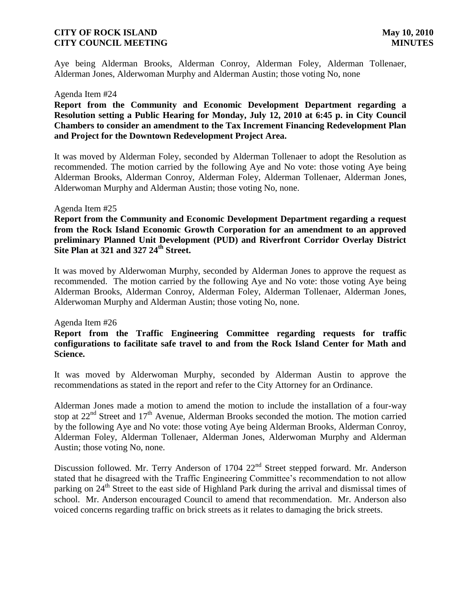Aye being Alderman Brooks, Alderman Conroy, Alderman Foley, Alderman Tollenaer, Alderman Jones, Alderwoman Murphy and Alderman Austin; those voting No, none

#### Agenda Item #24

**Report from the Community and Economic Development Department regarding a Resolution setting a Public Hearing for Monday, July 12, 2010 at 6:45 p. in City Council Chambers to consider an amendment to the Tax Increment Financing Redevelopment Plan and Project for the Downtown Redevelopment Project Area.**

It was moved by Alderman Foley, seconded by Alderman Tollenaer to adopt the Resolution as recommended. The motion carried by the following Aye and No vote: those voting Aye being Alderman Brooks, Alderman Conroy, Alderman Foley, Alderman Tollenaer, Alderman Jones, Alderwoman Murphy and Alderman Austin; those voting No, none.

### Agenda Item #25

**Report from the Community and Economic Development Department regarding a request from the Rock Island Economic Growth Corporation for an amendment to an approved preliminary Planned Unit Development (PUD) and Riverfront Corridor Overlay District Site Plan at 321 and 327 24th Street.** 

It was moved by Alderwoman Murphy, seconded by Alderman Jones to approve the request as recommended. The motion carried by the following Aye and No vote: those voting Aye being Alderman Brooks, Alderman Conroy, Alderman Foley, Alderman Tollenaer, Alderman Jones, Alderwoman Murphy and Alderman Austin; those voting No, none.

### Agenda Item #26

## **Report from the Traffic Engineering Committee regarding requests for traffic configurations to facilitate safe travel to and from the Rock Island Center for Math and Science.**

It was moved by Alderwoman Murphy, seconded by Alderman Austin to approve the recommendations as stated in the report and refer to the City Attorney for an Ordinance.

Alderman Jones made a motion to amend the motion to include the installation of a four-way stop at  $22<sup>nd</sup>$  Street and  $17<sup>th</sup>$  Avenue, Alderman Brooks seconded the motion. The motion carried by the following Aye and No vote: those voting Aye being Alderman Brooks, Alderman Conroy, Alderman Foley, Alderman Tollenaer, Alderman Jones, Alderwoman Murphy and Alderman Austin; those voting No, none.

Discussion followed. Mr. Terry Anderson of 1704 22<sup>nd</sup> Street stepped forward. Mr. Anderson stated that he disagreed with the Traffic Engineering Committee's recommendation to not allow parking on  $24<sup>th</sup>$  Street to the east side of Highland Park during the arrival and dismissal times of school. Mr. Anderson encouraged Council to amend that recommendation. Mr. Anderson also voiced concerns regarding traffic on brick streets as it relates to damaging the brick streets.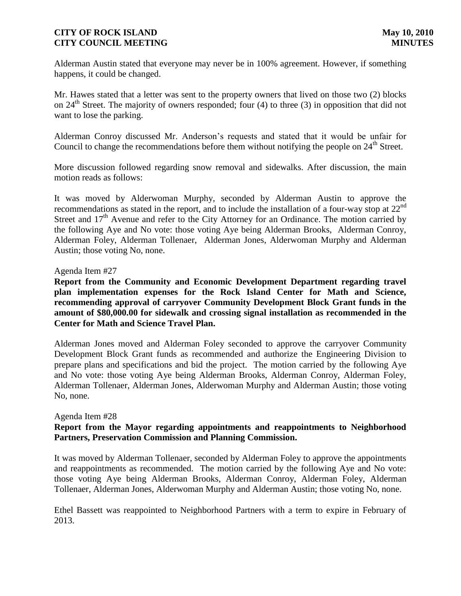Alderman Austin stated that everyone may never be in 100% agreement. However, if something happens, it could be changed.

Mr. Hawes stated that a letter was sent to the property owners that lived on those two (2) blocks on  $24<sup>th</sup>$  Street. The majority of owners responded; four (4) to three (3) in opposition that did not want to lose the parking.

Alderman Conroy discussed Mr. Anderson's requests and stated that it would be unfair for Council to change the recommendations before them without notifying the people on 24<sup>th</sup> Street.

More discussion followed regarding snow removal and sidewalks. After discussion, the main motion reads as follows:

It was moved by Alderwoman Murphy, seconded by Alderman Austin to approve the recommendations as stated in the report, and to include the installation of a four-way stop at 22nd Street and  $17<sup>th</sup>$  Avenue and refer to the City Attorney for an Ordinance. The motion carried by the following Aye and No vote: those voting Aye being Alderman Brooks, Alderman Conroy, Alderman Foley, Alderman Tollenaer, Alderman Jones, Alderwoman Murphy and Alderman Austin; those voting No, none.

## Agenda Item #27

**Report from the Community and Economic Development Department regarding travel plan implementation expenses for the Rock Island Center for Math and Science, recommending approval of carryover Community Development Block Grant funds in the amount of \$80,000.00 for sidewalk and crossing signal installation as recommended in the Center for Math and Science Travel Plan.**

Alderman Jones moved and Alderman Foley seconded to approve the carryover Community Development Block Grant funds as recommended and authorize the Engineering Division to prepare plans and specifications and bid the project. The motion carried by the following Aye and No vote: those voting Aye being Alderman Brooks, Alderman Conroy, Alderman Foley, Alderman Tollenaer, Alderman Jones, Alderwoman Murphy and Alderman Austin; those voting No, none.

### Agenda Item #28

## **Report from the Mayor regarding appointments and reappointments to Neighborhood Partners, Preservation Commission and Planning Commission.**

It was moved by Alderman Tollenaer, seconded by Alderman Foley to approve the appointments and reappointments as recommended. The motion carried by the following Aye and No vote: those voting Aye being Alderman Brooks, Alderman Conroy, Alderman Foley, Alderman Tollenaer, Alderman Jones, Alderwoman Murphy and Alderman Austin; those voting No, none.

Ethel Bassett was reappointed to Neighborhood Partners with a term to expire in February of 2013.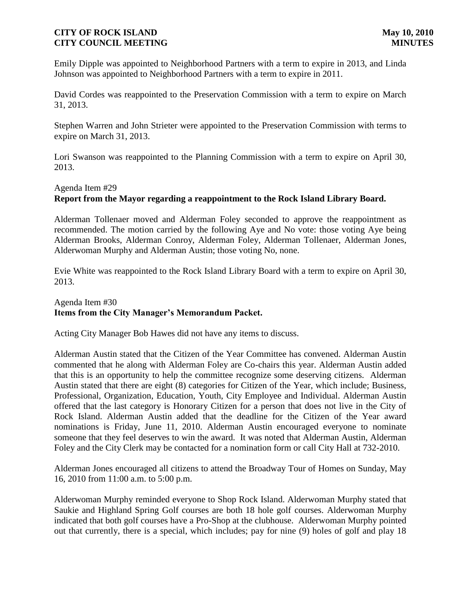Emily Dipple was appointed to Neighborhood Partners with a term to expire in 2013, and Linda Johnson was appointed to Neighborhood Partners with a term to expire in 2011.

David Cordes was reappointed to the Preservation Commission with a term to expire on March 31, 2013.

Stephen Warren and John Strieter were appointed to the Preservation Commission with terms to expire on March 31, 2013.

Lori Swanson was reappointed to the Planning Commission with a term to expire on April 30, 2013.

## Agenda Item #29

## **Report from the Mayor regarding a reappointment to the Rock Island Library Board.**

Alderman Tollenaer moved and Alderman Foley seconded to approve the reappointment as recommended. The motion carried by the following Aye and No vote: those voting Aye being Alderman Brooks, Alderman Conroy, Alderman Foley, Alderman Tollenaer, Alderman Jones, Alderwoman Murphy and Alderman Austin; those voting No, none.

Evie White was reappointed to the Rock Island Library Board with a term to expire on April 30, 2013.

## Agenda Item #30 **Items from the City Manager's Memorandum Packet.**

Acting City Manager Bob Hawes did not have any items to discuss.

Alderman Austin stated that the Citizen of the Year Committee has convened. Alderman Austin commented that he along with Alderman Foley are Co-chairs this year. Alderman Austin added that this is an opportunity to help the committee recognize some deserving citizens. Alderman Austin stated that there are eight (8) categories for Citizen of the Year, which include; Business, Professional, Organization, Education, Youth, City Employee and Individual. Alderman Austin offered that the last category is Honorary Citizen for a person that does not live in the City of Rock Island. Alderman Austin added that the deadline for the Citizen of the Year award nominations is Friday, June 11, 2010. Alderman Austin encouraged everyone to nominate someone that they feel deserves to win the award. It was noted that Alderman Austin, Alderman Foley and the City Clerk may be contacted for a nomination form or call City Hall at 732-2010.

Alderman Jones encouraged all citizens to attend the Broadway Tour of Homes on Sunday, May 16, 2010 from 11:00 a.m. to 5:00 p.m.

Alderwoman Murphy reminded everyone to Shop Rock Island. Alderwoman Murphy stated that Saukie and Highland Spring Golf courses are both 18 hole golf courses. Alderwoman Murphy indicated that both golf courses have a Pro-Shop at the clubhouse. Alderwoman Murphy pointed out that currently, there is a special, which includes; pay for nine (9) holes of golf and play 18